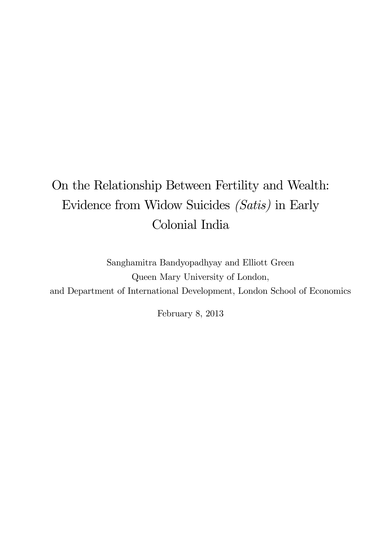# On the Relationship Between Fertility and Wealth: Evidence from Widow Suicides (Satis) in Early Colonial India

Sanghamitra Bandyopadhyay and Elliott Green Queen Mary University of London, and Department of International Development, London School of Economics

February 8, 2013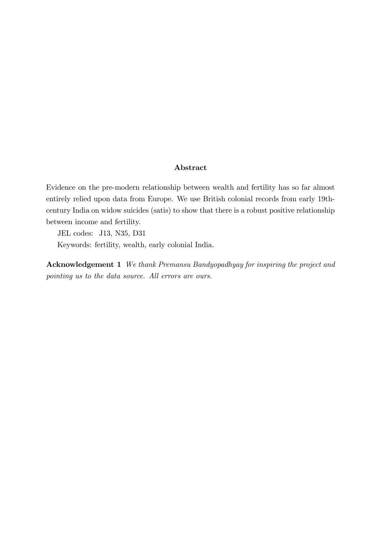#### Abstract

Evidence on the pre-modern relationship between wealth and fertility has so far almost entirely relied upon data from Europe. We use British colonial records from early 19thcentury India on widow suicides (satis) to show that there is a robust positive relationship between income and fertility.

JEL codes: J13, N35, D31

Keywords: fertility, wealth, early colonial India.

Acknowledgement 1 We thank Premansu Bandyopadhyay for inspiring the project and pointing us to the data source. All errors are ours.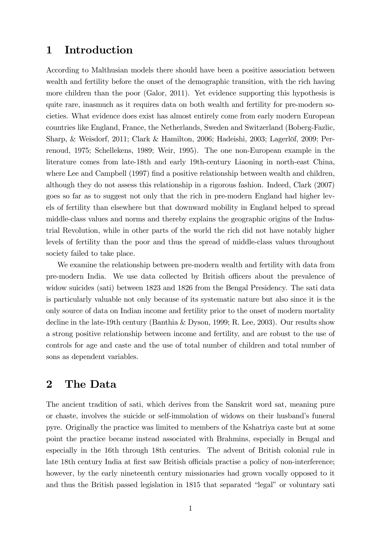## 1 Introduction

According to Malthusian models there should have been a positive association between wealth and fertility before the onset of the demographic transition, with the rich having more children than the poor (Galor, 2011). Yet evidence supporting this hypothesis is quite rare, inasmuch as it requires data on both wealth and fertility for pre-modern societies. What evidence does exist has almost entirely come from early modern European countries like England, France, the Netherlands, Sweden and Switzerland (Boberg-Fazlic, Sharp, & Weisdorf, 2011; Clark & Hamilton, 2006; Hadeishi, 2003; Lagerlöf, 2009; Perrenoud, 1975; Schellekens, 1989; Weir, 1995). The one non-European example in the literature comes from late-18th and early 19th-century Liaoning in north-east China, where Lee and Campbell (1997) find a positive relationship between wealth and children, although they do not assess this relationship in a rigorous fashion. Indeed, Clark (2007) goes so far as to suggest not only that the rich in pre-modern England had higher levels of fertility than elsewhere but that downward mobility in England helped to spread middle-class values and norms and thereby explains the geographic origins of the Industrial Revolution, while in other parts of the world the rich did not have notably higher levels of fertility than the poor and thus the spread of middle-class values throughout society failed to take place.

We examine the relationship between pre-modern wealth and fertility with data from pre-modern India. We use data collected by British officers about the prevalence of widow suicides (sati) between 1823 and 1826 from the Bengal Presidency. The sati data is particularly valuable not only because of its systematic nature but also since it is the only source of data on Indian income and fertility prior to the onset of modern mortality decline in the late-19th century (Banthia & Dyson, 1999; R. Lee, 2003). Our results show a strong positive relationship between income and fertility, and are robust to the use of controls for age and caste and the use of total number of children and total number of sons as dependent variables.

# 2 The Data

The ancient tradition of sati, which derives from the Sanskrit word sat, meaning pure or chaste, involves the suicide or self-immolation of widows on their husband's funeral pyre. Originally the practice was limited to members of the Kshatriya caste but at some point the practice became instead associated with Brahmins, especially in Bengal and especially in the 16th through 18th centuries. The advent of British colonial rule in late 18th century India at first saw British officials practise a policy of non-interference; however, by the early nineteenth century missionaries had grown vocally opposed to it and thus the British passed legislation in 1815 that separated "legal" or voluntary sati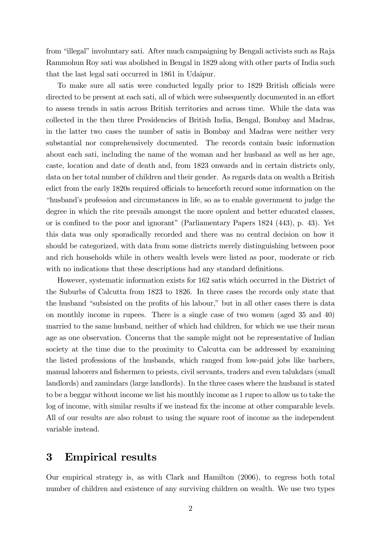from "illegal" involuntary sati. After much campaigning by Bengali activists such as Raja Rammohun Roy sati was abolished in Bengal in 1829 along with other parts of India such that the last legal sati occurred in 1861 in Udaipur.

To make sure all satis were conducted legally prior to 1829 British officials were directed to be present at each sati, all of which were subsequently documented in an effort to assess trends in satis across British territories and across time. While the data was collected in the then three Presidencies of British India, Bengal, Bombay and Madras, in the latter two cases the number of satis in Bombay and Madras were neither very substantial nor comprehensively documented. The records contain basic information about each sati, including the name of the woman and her husband as well as her age, caste, location and date of death and, from 1823 onwards and in certain districts only, data on her total number of children and their gender. As regards data on wealth a British edict from the early 1820s required officials to henceforth record some information on the ìhusbandís profession and circumstances in life, so as to enable government to judge the degree in which the rite prevails amongst the more opulent and better educated classes, or is confined to the poor and ignorant" (Parliamentary Papers  $1824$   $(443)$ , p. 43). Yet this data was only sporadically recorded and there was no central decision on how it should be categorized, with data from some districts merely distinguishing between poor and rich households while in others wealth levels were listed as poor, moderate or rich with no indications that these descriptions had any standard definitions.

However, systematic information exists for 162 satis which occurred in the District of the Suburbs of Calcutta from 1823 to 1826. In three cases the records only state that the husband "subsisted on the profits of his labour," but in all other cases there is data on monthly income in rupees. There is a single case of two women (aged 35 and 40) married to the same husband, neither of which had children, for which we use their mean age as one observation. Concerns that the sample might not be representative of Indian society at the time due to the proximity to Calcutta can be addressed by examining the listed professions of the husbands, which ranged from low-paid jobs like barbers, manual laborers and fishermen to priests, civil servants, traders and even talukdars (small landlords) and zamindars (large landlords). In the three cases where the husband is stated to be a beggar without income we list his monthly income as 1 rupee to allow us to take the log of income, with similar results if we instead fix the income at other comparable levels. All of our results are also robust to using the square root of income as the independent variable instead.

## 3 Empirical results

Our empirical strategy is, as with Clark and Hamilton (2006), to regress both total number of children and existence of any surviving children on wealth. We use two types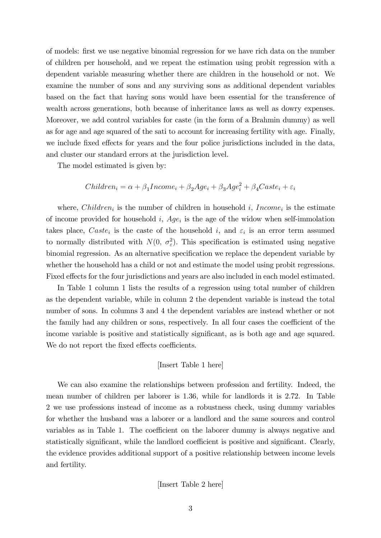of models: first we use negative binomial regression for we have rich data on the number of children per household, and we repeat the estimation using probit regression with a dependent variable measuring whether there are children in the household or not. We examine the number of sons and any surviving sons as additional dependent variables based on the fact that having sons would have been essential for the transference of wealth across generations, both because of inheritance laws as well as dowry expenses. Moreover, we add control variables for caste (in the form of a Brahmin dummy) as well as for age and age squared of the sati to account for increasing fertility with age. Finally, we include fixed effects for years and the four police jurisdictions included in the data, and cluster our standard errors at the jurisdiction level.

The model estimated is given by:

$$
Children_i = \alpha + \beta_1 Income_i + \beta_2 Age_i + \beta_3 Age_i^2 + \beta_4 Case_i + \varepsilon_i
$$

where,  $Children_i$  is the number of children in household i,  $Income_i$  is the estimate of income provided for household  $i$ ,  $Age_i$  is the age of the widow when self-immolation takes place,  $\text{Case}_i$  is the caste of the household i, and  $\varepsilon_i$  is an error term assumed to normally distributed with  $N(0, \sigma_{\varepsilon}^2)$ . This specification is estimated using negative binomial regression. As an alternative specification we replace the dependent variable by whether the household has a child or not and estimate the model using probit regressions. Fixed effects for the four jurisdictions and years are also included in each model estimated.

In Table 1 column 1 lists the results of a regression using total number of children as the dependent variable, while in column 2 the dependent variable is instead the total number of sons. In columns 3 and 4 the dependent variables are instead whether or not the family had any children or sons, respectively. In all four cases the coefficient of the income variable is positive and statistically significant, as is both age and age squared. We do not report the fixed effects coefficients.

#### [Insert Table 1 here]

We can also examine the relationships between profession and fertility. Indeed, the mean number of children per laborer is 1.36, while for landlords it is 2.72. In Table 2 we use professions instead of income as a robustness check, using dummy variables for whether the husband was a laborer or a landlord and the same sources and control variables as in Table 1. The coefficient on the laborer dummy is always negative and statistically significant, while the landlord coefficient is positive and significant. Clearly, the evidence provides additional support of a positive relationship between income levels and fertility.

[Insert Table 2 here]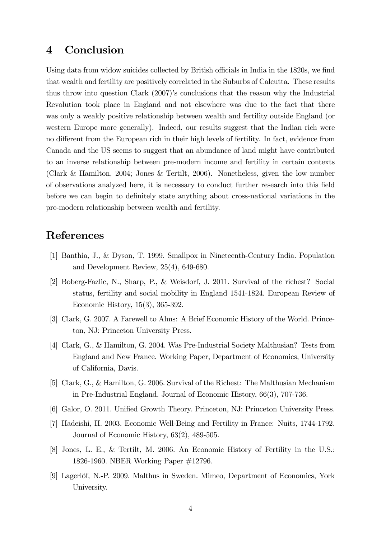# 4 Conclusion

Using data from widow suicides collected by British officials in India in the 1820s, we find that wealth and fertility are positively correlated in the Suburbs of Calcutta. These results thus throw into question Clark (2007)'s conclusions that the reason why the Industrial Revolution took place in England and not elsewhere was due to the fact that there was only a weakly positive relationship between wealth and fertility outside England (or western Europe more generally). Indeed, our results suggest that the Indian rich were no different from the European rich in their high levels of fertility. In fact, evidence from Canada and the US seems to suggest that an abundance of land might have contributed to an inverse relationship between pre-modern income and fertility in certain contexts (Clark & Hamilton, 2004; Jones & Tertilt, 2006). Nonetheless, given the low number of observations analyzed here, it is necessary to conduct further research into this Öeld before we can begin to definitely state anything about cross-national variations in the pre-modern relationship between wealth and fertility.

# References

- [1] Banthia, J., & Dyson, T. 1999. Smallpox in Nineteenth-Century India. Population and Development Review, 25(4), 649-680.
- [2] Boberg-Fazlic, N., Sharp, P., & Weisdorf, J. 2011. Survival of the richest? Social status, fertility and social mobility in England 1541-1824. European Review of Economic History, 15(3), 365-392.
- [3] Clark, G. 2007. A Farewell to Alms: A Brief Economic History of the World. Princeton, NJ: Princeton University Press.
- [4] Clark, G., & Hamilton, G. 2004. Was Pre-Industrial Society Malthusian? Tests from England and New France. Working Paper, Department of Economics, University of California, Davis.
- [5] Clark, G., & Hamilton, G. 2006. Survival of the Richest: The Malthusian Mechanism in Pre-Industrial England. Journal of Economic History, 66(3), 707-736.
- [6] Galor, O. 2011. Unified Growth Theory. Princeton, NJ: Princeton University Press.
- [7] Hadeishi, H. 2003. Economic Well-Being and Fertility in France: Nuits, 1744-1792. Journal of Economic History, 63(2), 489-505.
- [8] Jones, L. E., & Tertilt, M. 2006. An Economic History of Fertility in the U.S.: 1826-1960. NBER Working Paper #12796.
- [9] Lagerlˆf, N.-P. 2009. Malthus in Sweden. Mimeo, Department of Economics, York University.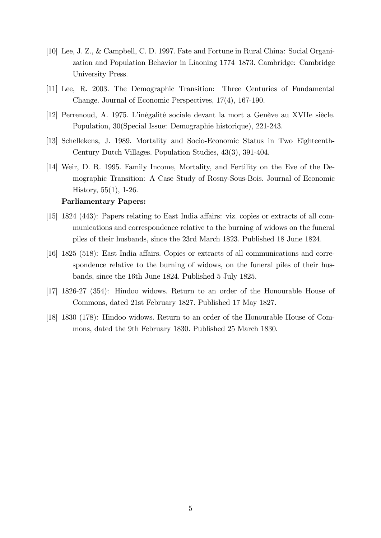- [10] Lee, J. Z., & Campbell, C. D. 1997. Fate and Fortune in Rural China: Social Organization and Population Behavior in Liaoning 1774–1873. Cambridge: Cambridge University Press.
- [11] Lee, R. 2003. The Demographic Transition: Three Centuries of Fundamental Change. Journal of Economic Perspectives, 17(4), 167-190.
- [12] Perrenoud, A. 1975. L'inégalité sociale devant la mort a Genève au XVIIe siècle. Population, 30(Special Issue: Demographie historique), 221-243.
- [13] Schellekens, J. 1989. Mortality and Socio-Economic Status in Two Eighteenth-Century Dutch Villages. Population Studies, 43(3), 391-404.
- [14] Weir, D. R. 1995. Family Income, Mortality, and Fertility on the Eve of the Demographic Transition: A Case Study of Rosny-Sous-Bois. Journal of Economic History, 55(1), 1-26.

#### Parliamentary Papers:

- [15] 1824 (443): Papers relating to East India affairs: viz. copies or extracts of all communications and correspondence relative to the burning of widows on the funeral piles of their husbands, since the 23rd March 1823. Published 18 June 1824.
- $[16]$  1825 (518): East India affairs. Copies or extracts of all communications and correspondence relative to the burning of widows, on the funeral piles of their husbands, since the 16th June 1824. Published 5 July 1825.
- [17] 1826-27 (354): Hindoo widows. Return to an order of the Honourable House of Commons, dated 21st February 1827. Published 17 May 1827.
- [18] 1830 (178): Hindoo widows. Return to an order of the Honourable House of Commons, dated the 9th February 1830. Published 25 March 1830.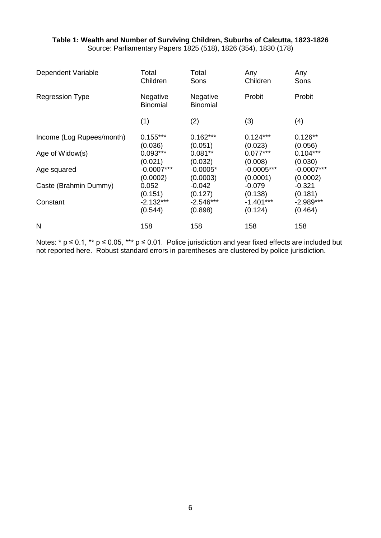### **Table 1: Wealth and Number of Surviving Children, Suburbs of Calcutta, 1823-1826** Source: Parliamentary Papers 1825 (518), 1826 (354), 1830 (178)

| Dependent Variable        | Total                       | Total                       | Any          | Any          |
|---------------------------|-----------------------------|-----------------------------|--------------|--------------|
|                           | Children                    | Sons                        | Children     | Sons         |
| <b>Regression Type</b>    | Negative<br><b>Binomial</b> | Negative<br><b>Binomial</b> | Probit       | Probit       |
|                           | (1)                         | (2)                         | (3)          | (4)          |
| Income (Log Rupees/month) | $0.155***$                  | $0.162***$                  | $0.124***$   | $0.126**$    |
|                           | (0.036)                     | (0.051)                     | (0.023)      | (0.056)      |
| Age of Widow(s)           | $0.093***$                  | $0.081**$                   | $0.077***$   | $0.104***$   |
|                           | (0.021)                     | (0.032)                     | (0.008)      | (0.030)      |
| Age squared               | $-0.0007***$                | $-0.0005*$                  | $-0.0005***$ | $-0.0007***$ |
|                           | (0.0002)                    | (0.0003)                    | (0.0001)     | (0.0002)     |
| Caste (Brahmin Dummy)     | 0.052                       | $-0.042$                    | $-0.079$     | $-0.321$     |
|                           | (0.151)                     | (0.127)                     | (0.138)      | (0.181)      |
| Constant                  | $-2.132***$                 | $-2.546***$                 | $-1.401***$  | $-2.989***$  |
|                           | (0.544)                     | (0.898)                     | (0.124)      | (0.464)      |
| N                         | 158                         | 158                         | 158          | 158          |

Notes:  $*$  p  $\leq$  0.1,  $**$  p  $\leq$  0.05,  $***$  p  $\leq$  0.01. Police jurisdiction and year fixed effects are included but not reported here. Robust standard errors in parentheses are clustered by police jurisdiction.